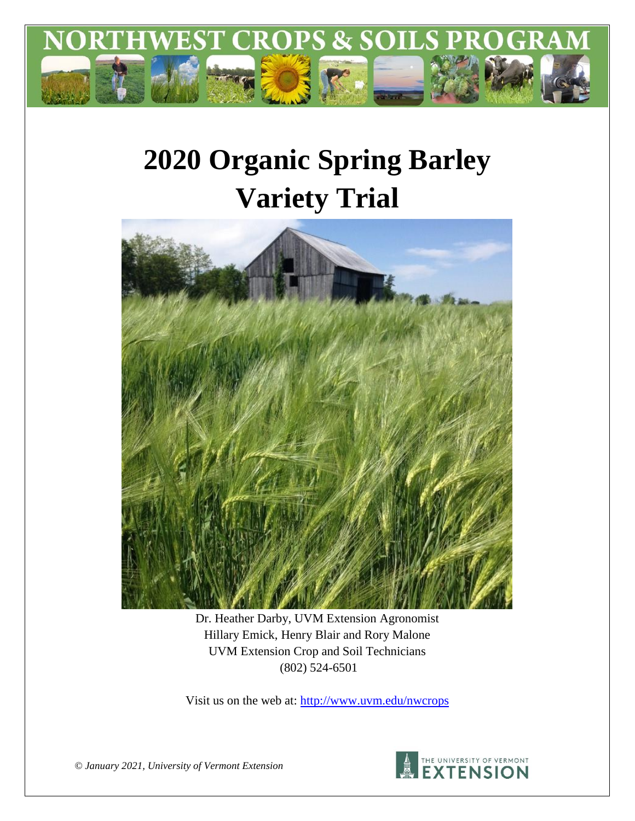

# **2020 Organic Spring Barley Variety Trial**



Dr. Heather Darby, UVM Extension Agronomist Hillary Emick, Henry Blair and Rory Malone UVM Extension Crop and Soil Technicians (802) 524-6501

Visit us on the web at:<http://www.uvm.edu/nwcrops>



*© January 2021, University of Vermont Extension*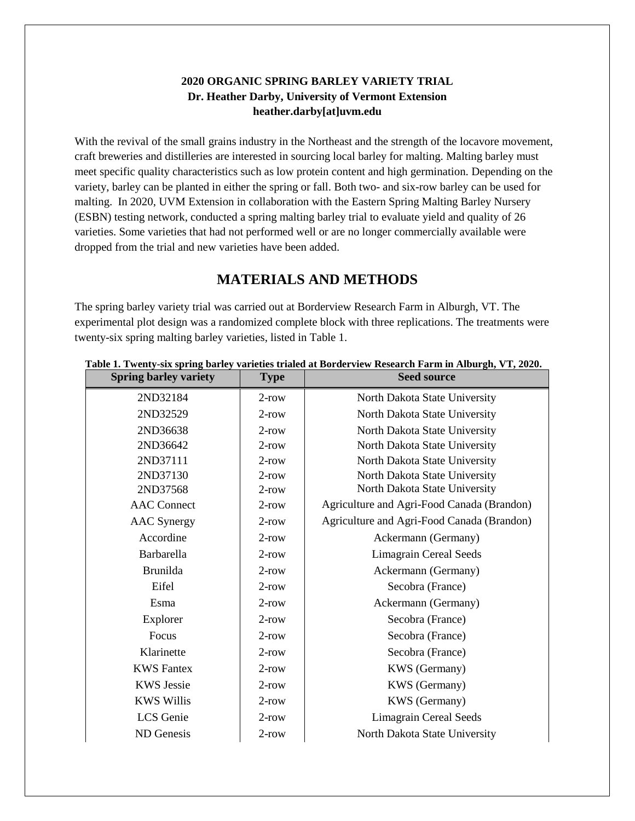### **2020 ORGANIC SPRING BARLEY VARIETY TRIAL Dr. Heather Darby, University of Vermont Extension heather.darby[at]uvm.edu**

With the revival of the small grains industry in the Northeast and the strength of the locavore movement, craft breweries and distilleries are interested in sourcing local barley for malting. Malting barley must meet specific quality characteristics such as low protein content and high germination. Depending on the variety, barley can be planted in either the spring or fall. Both two- and six-row barley can be used for malting. In 2020, UVM Extension in collaboration with the Eastern Spring Malting Barley Nursery (ESBN) testing network, conducted a spring malting barley trial to evaluate yield and quality of 26 varieties. Some varieties that had not performed well or are no longer commercially available were dropped from the trial and new varieties have been added.

## **MATERIALS AND METHODS**

The spring barley variety trial was carried out at Borderview Research Farm in Alburgh, VT. The experimental plot design was a randomized complete block with three replications. The treatments were twenty-six spring malting barley varieties, listed in Table 1.

| <b>Spring barley variety</b> | <b>Type</b> | <b>Seed source</b>                         |
|------------------------------|-------------|--------------------------------------------|
| 2ND32184                     | $2$ -row    | North Dakota State University              |
| 2ND32529                     | $2$ -row    | North Dakota State University              |
| 2ND36638                     | $2$ -row    | North Dakota State University              |
| 2ND36642                     | $2$ -row    | North Dakota State University              |
| 2ND37111                     | $2$ -row    | North Dakota State University              |
| 2ND37130                     | $2$ -row    | North Dakota State University              |
| 2ND37568                     | $2$ -row    | North Dakota State University              |
| <b>AAC</b> Connect           | $2$ -row    | Agriculture and Agri-Food Canada (Brandon) |
| <b>AAC</b> Synergy           | $2$ -row    | Agriculture and Agri-Food Canada (Brandon) |
| Accordine                    | $2$ -row    | Ackermann (Germany)                        |
| Barbarella                   | $2$ -row    | <b>Limagrain Cereal Seeds</b>              |
| Brunilda                     | $2$ -row    | Ackermann (Germany)                        |
| Eifel                        | $2$ -row    | Secobra (France)                           |
| Esma                         | $2$ -row    | Ackermann (Germany)                        |
| Explorer                     | $2$ -row    | Secobra (France)                           |
| Focus                        | $2$ -row    | Secobra (France)                           |
| Klarinette                   | $2$ -row    | Secobra (France)                           |
| <b>KWS</b> Fantex            | $2$ -row    | KWS (Germany)                              |
| <b>KWS Jessie</b>            | $2$ -row    | <b>KWS</b> (Germany)                       |
| <b>KWS Willis</b>            | $2$ -row    | <b>KWS</b> (Germany)                       |
| LCS Genie                    | $2$ -row    | <b>Limagrain Cereal Seeds</b>              |
| ND Genesis                   | $2$ -row    | North Dakota State University              |

#### **Table 1. Twenty-six spring barley varieties trialed at Borderview Research Farm in Alburgh, VT, 2020.**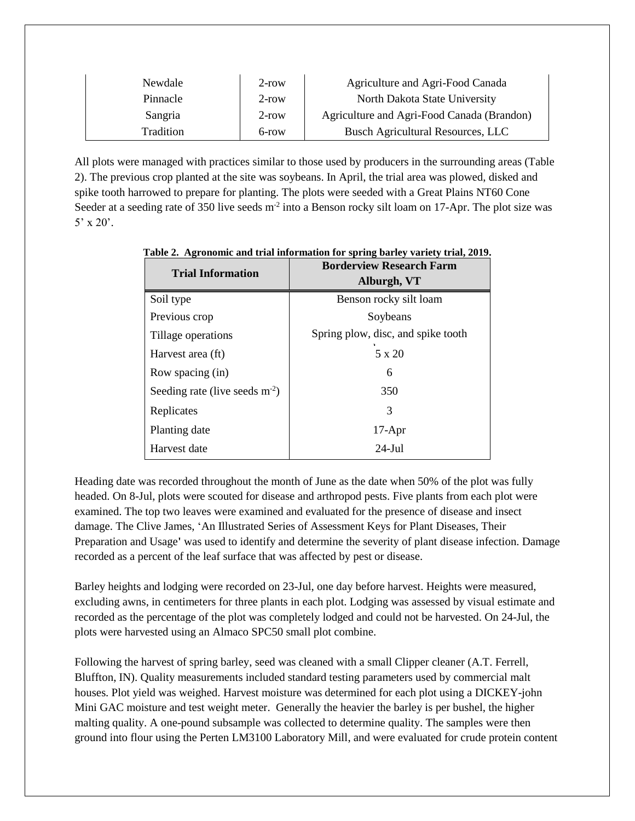| Newdale   | $2$ -row | Agriculture and Agri-Food Canada           |
|-----------|----------|--------------------------------------------|
| Pinnacle  | $2$ -row | North Dakota State University              |
| Sangria   | $2$ -row | Agriculture and Agri-Food Canada (Brandon) |
| Tradition | $6$ -row | Busch Agricultural Resources, LLC          |

All plots were managed with practices similar to those used by producers in the surrounding areas (Table 2). The previous crop planted at the site was soybeans. In April, the trial area was plowed, disked and spike tooth harrowed to prepare for planting. The plots were seeded with a Great Plains NT60 Cone Seeder at a seeding rate of 350 live seeds m<sup>-2</sup> into a Benson rocky silt loam on 17-Apr. The plot size was  $5'$  x 20'.

| <b>Trial Information</b>         | <b>Borderview Research Farm</b><br>Alburgh, VT |  |  |  |  |
|----------------------------------|------------------------------------------------|--|--|--|--|
| Soil type                        | Benson rocky silt loam                         |  |  |  |  |
| Previous crop                    | Soybeans                                       |  |  |  |  |
| Tillage operations               | Spring plow, disc, and spike tooth             |  |  |  |  |
| Harvest area (ft)                | 5 x 20                                         |  |  |  |  |
| Row spacing (in)                 | 6                                              |  |  |  |  |
| Seeding rate (live seeds $m-2$ ) | 350                                            |  |  |  |  |
| Replicates                       | 3                                              |  |  |  |  |
| Planting date                    | $17-Apr$                                       |  |  |  |  |
| Harvest date                     | $24$ -Jul                                      |  |  |  |  |

**Table 2. Agronomic and trial information for spring barley variety trial, 2019.**

Heading date was recorded throughout the month of June as the date when 50% of the plot was fully headed. On 8-Jul, plots were scouted for disease and arthropod pests. Five plants from each plot were examined. The top two leaves were examined and evaluated for the presence of disease and insect damage. The Clive James, 'An Illustrated Series of Assessment Keys for Plant Diseases, Their Preparation and Usage**'** was used to identify and determine the severity of plant disease infection. Damage recorded as a percent of the leaf surface that was affected by pest or disease.

Barley heights and lodging were recorded on 23-Jul, one day before harvest. Heights were measured, excluding awns, in centimeters for three plants in each plot. Lodging was assessed by visual estimate and recorded as the percentage of the plot was completely lodged and could not be harvested. On 24-Jul, the plots were harvested using an Almaco SPC50 small plot combine.

Following the harvest of spring barley, seed was cleaned with a small Clipper cleaner (A.T. Ferrell, Bluffton, IN). Quality measurements included standard testing parameters used by commercial malt houses. Plot yield was weighed. Harvest moisture was determined for each plot using a DICKEY-john Mini GAC moisture and test weight meter. Generally the heavier the barley is per bushel, the higher malting quality. A one-pound subsample was collected to determine quality. The samples were then ground into flour using the Perten LM3100 Laboratory Mill, and were evaluated for crude protein content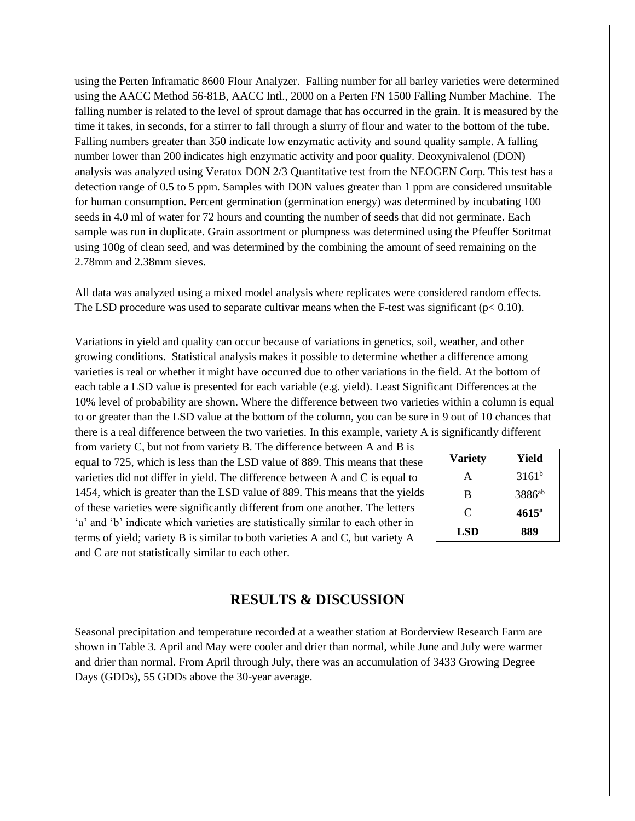using the Perten Inframatic 8600 Flour Analyzer. Falling number for all barley varieties were determined using the AACC Method 56-81B, AACC Intl., 2000 on a Perten FN 1500 Falling Number Machine. The falling number is related to the level of sprout damage that has occurred in the grain. It is measured by the time it takes, in seconds, for a stirrer to fall through a slurry of flour and water to the bottom of the tube. Falling numbers greater than 350 indicate low enzymatic activity and sound quality sample. A falling number lower than 200 indicates high enzymatic activity and poor quality. Deoxynivalenol (DON) analysis was analyzed using Veratox DON 2/3 Quantitative test from the NEOGEN Corp. This test has a detection range of 0.5 to 5 ppm. Samples with DON values greater than 1 ppm are considered unsuitable for human consumption. Percent germination (germination energy) was determined by incubating 100 seeds in 4.0 ml of water for 72 hours and counting the number of seeds that did not germinate. Each sample was run in duplicate. Grain assortment or plumpness was determined using the Pfeuffer Soritmat using 100g of clean seed, and was determined by the combining the amount of seed remaining on the 2.78mm and 2.38mm sieves.

All data was analyzed using a mixed model analysis where replicates were considered random effects. The LSD procedure was used to separate cultivar means when the F-test was significant ( $p < 0.10$ ).

Variations in yield and quality can occur because of variations in genetics, soil, weather, and other growing conditions. Statistical analysis makes it possible to determine whether a difference among varieties is real or whether it might have occurred due to other variations in the field. At the bottom of each table a LSD value is presented for each variable (e.g. yield). Least Significant Differences at the 10% level of probability are shown. Where the difference between two varieties within a column is equal to or greater than the LSD value at the bottom of the column, you can be sure in 9 out of 10 chances that there is a real difference between the two varieties. In this example, variety A is significantly different

from variety C, but not from variety B. The difference between A and B is equal to 725, which is less than the LSD value of 889. This means that these varieties did not differ in yield. The difference between A and C is equal to 1454, which is greater than the LSD value of 889. This means that the yields of these varieties were significantly different from one another. The letters 'a' and 'b' indicate which varieties are statistically similar to each other in terms of yield; variety B is similar to both varieties A and C, but variety A and C are not statistically similar to each other.

| <b>Variety</b> | Yield              |
|----------------|--------------------|
| A              | $3161^{b}$         |
| B              | 3886 <sup>ab</sup> |
| C              | $4615^{\circ}$     |
| LSD            | 889                |

## **RESULTS & DISCUSSION**

Seasonal precipitation and temperature recorded at a weather station at Borderview Research Farm are shown in Table 3. April and May were cooler and drier than normal, while June and July were warmer and drier than normal. From April through July, there was an accumulation of 3433 Growing Degree Days (GDDs), 55 GDDs above the 30-year average.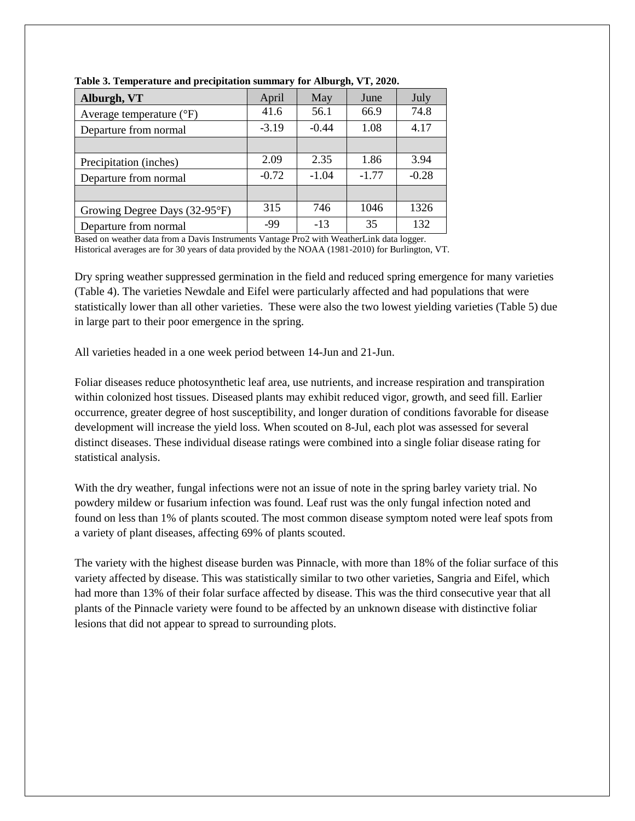| Alburgh, VT                       | April   | May     | June    | July    |
|-----------------------------------|---------|---------|---------|---------|
| Average temperature $(^{\circ}F)$ | 41.6    | 56.1    | 66.9    | 74.8    |
| Departure from normal             | $-3.19$ | $-0.44$ | 1.08    | 4.17    |
|                                   |         |         |         |         |
| Precipitation (inches)            | 2.09    | 2.35    | 1.86    | 3.94    |
| Departure from normal             | $-0.72$ | $-1.04$ | $-1.77$ | $-0.28$ |
|                                   |         |         |         |         |
| Growing Degree Days (32-95°F)     | 315     | 746     | 1046    | 1326    |
| Departure from normal             | $-99$   | $-13$   | 35      | 132     |

**Table 3. Temperature and precipitation summary for Alburgh, VT, 2020.**

Based on weather data from a Davis Instruments Vantage Pro2 with WeatherLink data logger. Historical averages are for 30 years of data provided by the NOAA (1981-2010) for Burlington, VT.

Dry spring weather suppressed germination in the field and reduced spring emergence for many varieties (Table 4). The varieties Newdale and Eifel were particularly affected and had populations that were statistically lower than all other varieties. These were also the two lowest yielding varieties (Table 5) due in large part to their poor emergence in the spring.

All varieties headed in a one week period between 14-Jun and 21-Jun.

Foliar diseases reduce photosynthetic leaf area, use nutrients, and increase respiration and transpiration within colonized host tissues. Diseased plants may exhibit reduced vigor, growth, and seed fill. Earlier occurrence, greater degree of host susceptibility, and longer duration of conditions favorable for disease development will increase the yield loss. When scouted on 8-Jul, each plot was assessed for several distinct diseases. These individual disease ratings were combined into a single foliar disease rating for statistical analysis.

With the dry weather, fungal infections were not an issue of note in the spring barley variety trial. No powdery mildew or fusarium infection was found. Leaf rust was the only fungal infection noted and found on less than 1% of plants scouted. The most common disease symptom noted were leaf spots from a variety of plant diseases, affecting 69% of plants scouted.

The variety with the highest disease burden was Pinnacle, with more than 18% of the foliar surface of this variety affected by disease. This was statistically similar to two other varieties, Sangria and Eifel, which had more than 13% of their folar surface affected by disease. This was the third consecutive year that all plants of the Pinnacle variety were found to be affected by an unknown disease with distinctive foliar lesions that did not appear to spread to surrounding plots.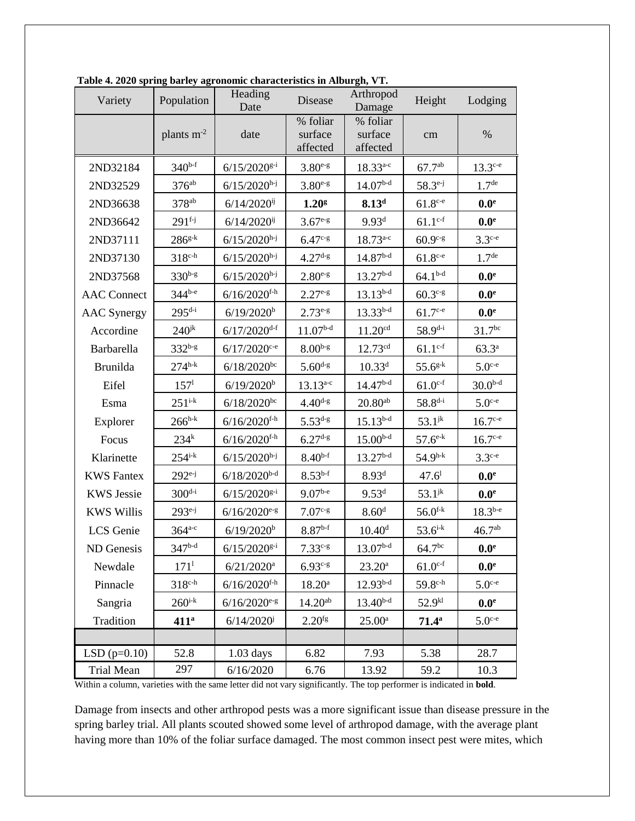| Variety            | Population              | Heading<br>Date            | Arthropod<br>Disease<br>Height<br>Damage |                                       | Lodging                   |                      |
|--------------------|-------------------------|----------------------------|------------------------------------------|---------------------------------------|---------------------------|----------------------|
|                    | plants $m^{-2}$<br>date |                            | % foliar<br>surface<br>affected          | % foliar<br>surface<br>cm<br>affected |                           | $\%$                 |
| 2ND32184           | $340^{b-f}$             | $6/15/2020^{g-i}$          | $3.80^{e-g}$                             | $18.33^{a-c}$                         | $67.7^{ab}$               | $13.3^{\text{c-e}}$  |
| 2ND32529           | 376 <sup>ab</sup>       | $6/15/2020$ <sup>h-j</sup> | $3.80^{e-g}$                             | $14.07b-d$                            | $58.3^{e-j}$              | 1.7 <sup>de</sup>    |
| 2ND36638           | 378 <sup>ab</sup>       | $6/14/2020$ <sup>ij</sup>  | 1.20 <sup>g</sup>                        | 8.13 <sup>d</sup>                     | $61.8^{\text{c-e}}$       | 0.0 <sup>e</sup>     |
| 2ND36642           | $291^{f-j}$             |                            | $3.67^{e-g}$                             | 9.93 <sup>d</sup>                     | $61.1^{\text{c-f}}$       | 0.0 <sup>e</sup>     |
| 2ND37111           | $286^{g-k}$             | $6/15/2020^{h-j}$          | $6.47c - g$                              | $18.73^{a-c}$                         | $60.9c-g$                 | $3.3^{\text{c-e}}$   |
| 2ND37130           | $318^{c-h}$             | $6/15/2020$ <sup>h-j</sup> | $4.27d-g$                                | $14.87b-d$                            | $61.8^{\text{c-e}}$       | 1.7 <sup>de</sup>    |
| 2ND37568           | $330^{b-g}$             | $6/15/2020^{h-j}$          | $2.80^{e-g}$                             | $13.27^{b-d}$                         | $64.1b-d$                 | 0.0 <sup>e</sup>     |
| <b>AAC</b> Connect | $344^{b-e}$             | $6/16/2020$ f-h            | $2.27e-g$                                | $13.13^{b-d}$                         | $60.3c-g$                 | $0.0^{\rm e}$        |
| <b>AAC</b> Synergy | $295^{d-i}$             | $6/19/2020$ <sup>b</sup>   | $2.73e-g$                                | $13.33^{b-d}$                         | $61.7c-e$                 | 0.0 <sup>e</sup>     |
| Accordine          | $240$ <sup>jk</sup>     | $6/17/2020$ <sup>d-f</sup> | $11.07^{\rm b\text{-}d}$                 | 11.20 <sup>cd</sup>                   | $58.9^{\rm d \text{-} i}$ | 31.7 <sup>bc</sup>   |
| Barbarella         | $332^{b-g}$             | $6/17/2020$ <sup>c-e</sup> | $8.00b-g$                                | 12.73 <sup>cd</sup>                   | $61.1^{c-f}$              | $63.3^{a}$           |
| <b>Brunilda</b>    | $274^{h-k}$             | $6/18/2020^{bc}$           | $5.60^{d-g}$                             | $10.33^{d}$                           | $55.6^{\rm g\text{-}k}$   | $5.0$ c-e            |
| Eifel              | 157 <sup>1</sup>        | $6/19/2020$ <sup>b</sup>   | $13.13^{a-c}$                            | $14.47b-d$                            | $61.0^{\rm c\text{-}f}$   | $30.0b-d$            |
| Esma               | $251^{i-k}$             | $6/18/2020^{bc}$           | $4.40d-g$                                | $20.80^{\rm ab}$                      | $58.8^{d-i}$              | $5.0$ <sup>c-e</sup> |
| Explorer           | $266^{h-k}$             | $6/16/2020$ f-h            | $5.53^{d-g}$                             | $15.13^{b-d}$                         | $53.1^{jk}$               | $16.7$ c-e           |
| Focus              | $234^k$                 | $6/16/2020$ f-h            | $6.27^{d-g}$                             | $15.00^{b-d}$                         | $57.6^{\text{e-k}}$       | $16.7^{\text{c-e}}$  |
| Klarinette         | $254^{i-k}$             | $6/15/2020^{h-j}$          | $8.40^{b-f}$                             | $13.27b-d$                            | $54.9^{h-k}$              | $3.3^{\text{c-e}}$   |
| <b>KWS</b> Fantex  | $292^{e-j}$             | $6/18/2020^{b-d}$          | $8.53^{b-f}$                             | 8.93 <sup>d</sup>                     | $47.6^{\rm l}$            | 0.0 <sup>e</sup>     |
| <b>KWS Jessie</b>  | $300^{d-i}$             | $6/15/2020^{g-i}$          | $9.07^{b-e}$                             | 9.53 <sup>d</sup>                     | $53.1^{jk}$               | $0.0^\mathrm{e}$     |
| <b>KWS Willis</b>  | $293^{e-j}$             | $6/16/2020$ <sup>e-g</sup> | $7.07c-s$                                | 8.60 <sup>d</sup>                     | $56.0$ <sup>f-k</sup>     | $18.3^{b-e}$         |
| LCS Genie          | $364^{a-c}$             | 6/19/2020 <sup>b</sup>     | $8.87^{\rm b\text{-}f}$                  | 10.40 <sup>d</sup>                    | $53.6^{i-k}$              | 46.7 <sup>ab</sup>   |
| ND Genesis         | $347^{b-d}$             | $6/15/2020^{g-i}$          | $7.33^{c-g}$                             | $13.07b-d$                            | 64.7 <sup>bc</sup>        | 0.0 <sup>e</sup>     |
| Newdale            | $171^1$                 | $6/21/2020$ <sup>a</sup>   | $6.93^{c-g}$                             | $23.20^a$                             | $61.0^{c-f}$              | 0.0 <sup>e</sup>     |
| Pinnacle           | $318c-h$                | $6/16/2020$ f-h            | $18.20^{\rm a}$                          | $12.93b-d$                            | $59.8^{\text{c-h}}$       | $5.0$ c-e            |
| Sangria            | $260^{i-k}$             | $6/16/2020$ e-g            | $14.20^{ab}$                             | $13.40^{b-d}$                         | $52.9^{k1}$               | 0.0 <sup>e</sup>     |
| Tradition          | 411 <sup>a</sup>        | $6/14/2020^{j}$            | $2.20^{fg}$                              | $25.00^{\rm a}$                       | $71.4^{\rm a}$            | $5.0$ <sup>c-e</sup> |
|                    |                         |                            |                                          |                                       |                           |                      |
| $LSD(p=0.10)$      | 52.8                    | $1.03$ days                | 6.82                                     | 7.93                                  | 5.38                      | 28.7                 |
| <b>Trial Mean</b>  | 297<br>6/16/2020        |                            | 6.76                                     | 13.92                                 | 59.2                      | 10.3                 |

**Table 4. 2020 spring barley agronomic characteristics in Alburgh, VT.**

Within a column, varieties with the same letter did not vary significantly. The top performer is indicated in **bold**.

Damage from insects and other arthropod pests was a more significant issue than disease pressure in the spring barley trial. All plants scouted showed some level of arthropod damage, with the average plant having more than 10% of the foliar surface damaged. The most common insect pest were mites, which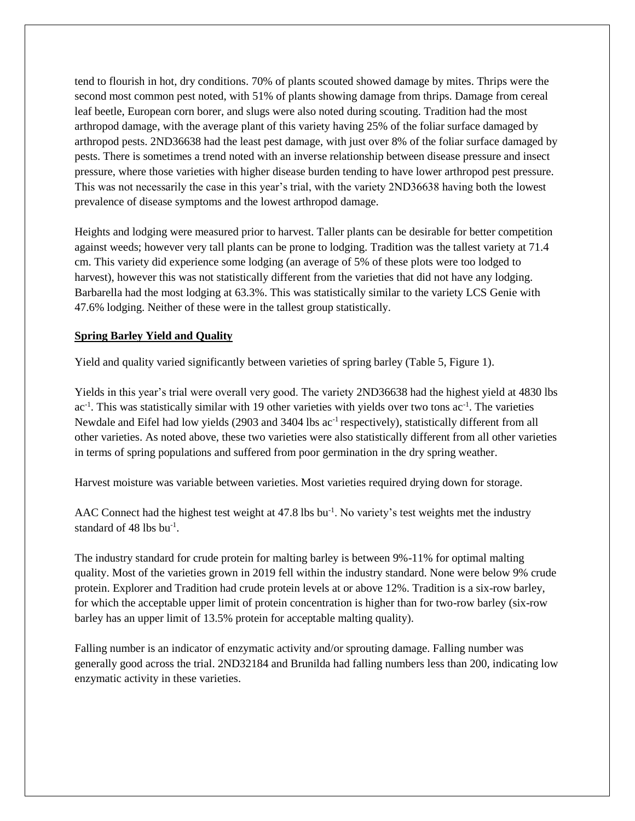tend to flourish in hot, dry conditions. 70% of plants scouted showed damage by mites. Thrips were the second most common pest noted, with 51% of plants showing damage from thrips. Damage from cereal leaf beetle, European corn borer, and slugs were also noted during scouting. Tradition had the most arthropod damage, with the average plant of this variety having 25% of the foliar surface damaged by arthropod pests. 2ND36638 had the least pest damage, with just over 8% of the foliar surface damaged by pests. There is sometimes a trend noted with an inverse relationship between disease pressure and insect pressure, where those varieties with higher disease burden tending to have lower arthropod pest pressure. This was not necessarily the case in this year's trial, with the variety 2ND36638 having both the lowest prevalence of disease symptoms and the lowest arthropod damage.

Heights and lodging were measured prior to harvest. Taller plants can be desirable for better competition against weeds; however very tall plants can be prone to lodging. Tradition was the tallest variety at 71.4 cm. This variety did experience some lodging (an average of 5% of these plots were too lodged to harvest), however this was not statistically different from the varieties that did not have any lodging. Barbarella had the most lodging at 63.3%. This was statistically similar to the variety LCS Genie with 47.6% lodging. Neither of these were in the tallest group statistically.

#### **Spring Barley Yield and Quality**

Yield and quality varied significantly between varieties of spring barley (Table 5, Figure 1).

Yields in this year's trial were overall very good. The variety 2ND36638 had the highest yield at 4830 lbs ac<sup>-1</sup>. This was statistically similar with 19 other varieties with yields over two tons ac<sup>-1</sup>. The varieties Newdale and Eifel had low yields (2903 and 3404 lbs ac<sup>-1</sup> respectively), statistically different from all other varieties. As noted above, these two varieties were also statistically different from all other varieties in terms of spring populations and suffered from poor germination in the dry spring weather.

Harvest moisture was variable between varieties. Most varieties required drying down for storage.

AAC Connect had the highest test weight at 47.8 lbs bu<sup>-1</sup>. No variety's test weights met the industry standard of 48 lbs bu<sup>-1</sup>.

The industry standard for crude protein for malting barley is between 9%-11% for optimal malting quality. Most of the varieties grown in 2019 fell within the industry standard. None were below 9% crude protein. Explorer and Tradition had crude protein levels at or above 12%. Tradition is a six-row barley, for which the acceptable upper limit of protein concentration is higher than for two-row barley (six-row barley has an upper limit of 13.5% protein for acceptable malting quality).

Falling number is an indicator of enzymatic activity and/or sprouting damage. Falling number was generally good across the trial. 2ND32184 and Brunilda had falling numbers less than 200, indicating low enzymatic activity in these varieties.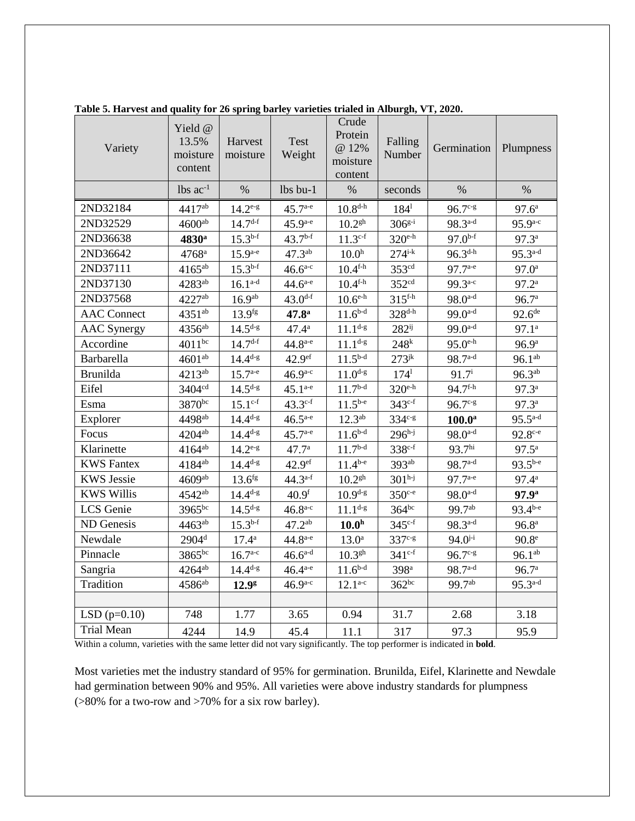| Variety            | Yield @<br>13.5%<br>moisture<br>content | Harvest<br>moisture | <b>Test</b><br>Weight | Crude<br>Protein<br>@ 12%<br>moisture<br>content | Falling<br>Number          | Germination                  | Plumpness          |
|--------------------|-----------------------------------------|---------------------|-----------------------|--------------------------------------------------|----------------------------|------------------------------|--------------------|
|                    | $lbs$ ac <sup>-1</sup>                  | $\%$                | $lbs$ bu-1            | $\%$                                             | seconds                    | $\%$                         | %                  |
| 2ND32184           | 4417ab                                  | $14.2^{e-g}$        | $45.7^{\text{a-e}}$   | $10.8^{d-h}$                                     | $184^1$                    | $96.7c-s$                    | $97.6^{\circ}$     |
| 2ND32529           | $4600^{ab}$                             | $14.7^{d-f}$        | $45.9^{a-e}$          | $10.2$ <sup>gh</sup>                             | $306^{g-i}$                | $98.3^{a-d}$                 | $95.9^{a-c}$       |
| 2ND36638           | 4830 <sup>a</sup>                       | $15.3^{b-f}$        | $43.7^{b-f}$          | $11.3^{c-f}$                                     | $320$ e-h                  | $97.0^{b-f}$                 | $97.3^{\rm a}$     |
| 2ND36642           | 4768 <sup>a</sup>                       | $15.9^{a-e}$        | $47.3^{ab}$           | 10.0 <sup>h</sup>                                | $274^{i-k}$                | $96.3^{d-h}$                 | $95.3^{a-d}$       |
| 2ND37111           | $4165^{ab}$                             | $15.3^{b-f}$        | $46.6^{a-c}$          | $10.4^{\text{f-h}}$                              | 353 <sup>cd</sup>          | $97.7^{a-e}$                 | $97.0^{\text{a}}$  |
| 2ND37130           | $4283^{ab}$                             | $16.1^{a-d}$        | $44.6^{a-e}$          | $10.4^{\text{f-h}}$                              | 352 <sup>cd</sup>          | $99.3^{a-c}$                 | $97.2^{\rm a}$     |
| 2ND37568           | 4227ab                                  | 16.9 <sup>ab</sup>  | $43.0^{d-f}$          | $10.6^{\text{e-h}}$                              | $315$ <sup>f-h</sup>       | $98.0^{a-d}$                 | 96.7 <sup>a</sup>  |
| <b>AAC</b> Connect | $4351^{ab}$                             | 13.9 <sup>fg</sup>  | 47.8 <sup>a</sup>     | $11.6^{b-d}$                                     | $328^{d-h}$                | $99.0^{a-d}$                 | $92.6^{\text{de}}$ |
| <b>AAC</b> Synergy | $4356$ <sup>ab</sup>                    | $14.5^{d-g}$        | $47.4^{\rm a}$        | $11.1^{d-g}$                                     | $282^{ij}$                 | $99.0^{a-d}$                 | $97.1^{\circ}$     |
| Accordine          | $4011^{bc}$                             | $14.7^{d-f}$        | $44.8^{a-e}$          | $11.1^{d-g}$                                     | 248 <sup>k</sup>           | $95.0^{\text{e-h}}$          | 96.9 <sup>a</sup>  |
| Barbarella         | $4601^{ab}$                             | $14.4^{d-g}$        | 42.9 <sup>ef</sup>    | $11.5^{b-d}$                                     | $273$ <sup>jk</sup>        | $98.7^{a-d}$                 | $96.1^{ab}$        |
| <b>Brunilda</b>    | 4213 <sup>ab</sup>                      | $15.7^{\text{a-e}}$ | $46.9^{a-c}$          | $11.0$ <sup>d-g</sup>                            | $174^1$                    | $91.7^{\rm i}$               | $96.3^{ab}$        |
| Eifel              | 3404 <sup>cd</sup>                      | $14.5^{d-g}$        | $45.1^{a-e}$          | $11.7^{\rm b\text{-}d}$                          | $320$ e-h                  | $94.7^{\text{f-h}}$          | 97.3 <sup>a</sup>  |
| Esma               | 3870bc                                  | $15.1^{\text{c-f}}$ | $43.3^{c-f}$          | $11.5^{b-e}$                                     | $343^{c-f}$                | $96.7^{\circ}$               | $97.3^{\circ}$     |
| Explorer           | 4498 <sup>ab</sup>                      | $14.4^{d-g}$        | $46.5^{a-e}$          | $12.3^{ab}$                                      | 334 <sup>c-g</sup>         | $100.0^{\mathrm{a}}$         | $95.5^{a-d}$       |
| Focus              | 4204 <sup>ab</sup>                      | $14.4^{d-g}$        | $45.7^{a-e}$          | $11.6^{b-d}$                                     | $296^{h-j}$                | $98.0$ <sup>a-d</sup>        | $92.8^{\circ -e}$  |
| Klarinette         | $4164^{ab}$                             | $14.2^{e-g}$        | 47.7 <sup>a</sup>     | $11.7^{b-d}$                                     | $338^{c-f}$                | 93.7 <sup>hi</sup>           | $97.5^{\rm a}$     |
| <b>KWS</b> Fantex  | $4184^{ab}$                             | $14.4^{d-g}$        | 42.9 <sup>ef</sup>    | $11.4^{b-e}$                                     | $393^{ab}$                 | $98.7^{a-d}$                 | $93.5^{b-e}$       |
| <b>KWS Jessie</b>  | 4609ab                                  | 13.6 <sup>fg</sup>  | $44.3^{a-f}$          | $10.2$ <sup>gh</sup>                             | $301h-j$                   | $97.7^{a-e}$                 | $97.4^{\rm a}$     |
| <b>KWS Willis</b>  | $4542^{ab}$                             | $14.4^{d-g}$        | 40.9 <sup>f</sup>     | $10.9^{d-g}$                                     | $350^{\circ}$ <sup>e</sup> | $98.0^{a-d}$                 | 97.9 <sup>a</sup>  |
| LCS Genie          | $3965^{bc}$                             | $14.5^{d-g}$        | $46.8^{a-c}$          | $11.1^{d-g}$                                     | $364^{bc}$                 | 99.7 <sup>ab</sup>           | $93.4^{b-e}$       |
| ND Genesis         | $4463^{ab}$                             | $15.3^{b-f}$        | $47.2^{ab}$           | 10.0 <sup>h</sup>                                | $345^{\circ f}$            | $98.3^{a-d}$                 | 96.8 <sup>a</sup>  |
| Newdale            | $2904^{\rm d}$                          | $17.4^{\rm a}$      | $44.8^{a-e}$          | 13.0 <sup>a</sup>                                | $337c-g$                   | $94.0^{j-i}$                 | 90.8 <sup>e</sup>  |
| Pinnacle           | $3865^{bc}$                             | $16.7^{\text{a-c}}$ | $46.6^{a-d}$          | 10.3 <sup>gh</sup>                               | $341^{c-f}$                | $96.7^{\mathrm{c}\text{-}g}$ | $96.1^{ab}$        |
| Sangria            | $4264^{ab}$                             | $14.4^{d-g}$        | $46.4^{a-e}$          | $11.6^{b-d}$                                     | 398 <sup>a</sup>           | $98.7^{a-d}$                 | 96.7 <sup>a</sup>  |
| Tradition          | $4586$ <sup>ab</sup>                    | 12.9 <sup>g</sup>   | $46.9^{a-c}$          | $12.1^{a-c}$                                     | $362^{bc}$                 | $99.7^{ab}$                  | $95.3^{a-d}$       |
|                    |                                         |                     |                       |                                                  |                            |                              |                    |
| LSD $(p=0.10)$     | 748                                     | 1.77                | 3.65                  | 0.94                                             | 31.7                       | 2.68                         | 3.18               |
| <b>Trial Mean</b>  | 4244                                    | 14.9                | 45.4                  | 11.1                                             | 317                        | 97.3                         | 95.9               |

**Table 5. Harvest and quality for 26 spring barley varieties trialed in Alburgh, VT, 2020.**

Within a column, varieties with the same letter did not vary significantly. The top performer is indicated in **bold**.

Most varieties met the industry standard of 95% for germination. Brunilda, Eifel, Klarinette and Newdale had germination between 90% and 95%. All varieties were above industry standards for plumpness (>80% for a two-row and >70% for a six row barley).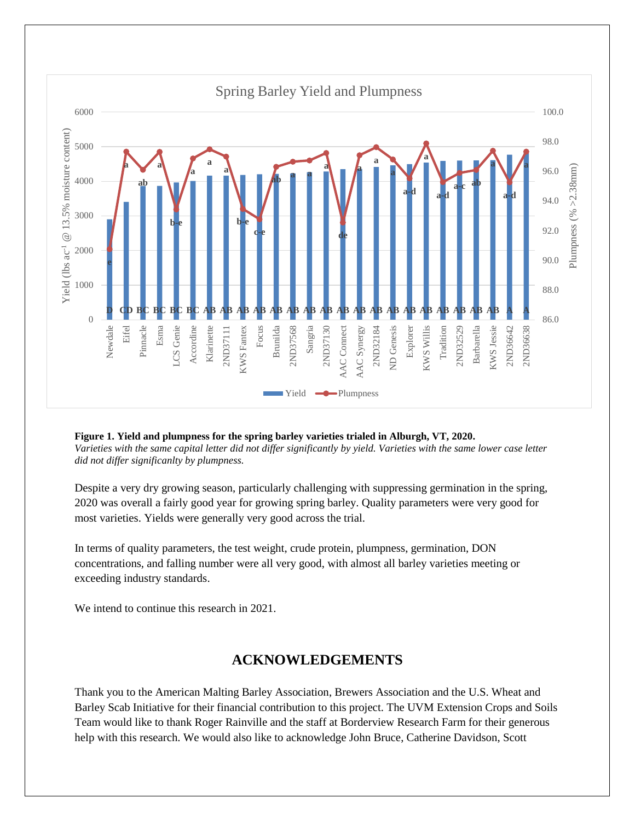

**Figure 1. Yield and plumpness for the spring barley varieties trialed in Alburgh, VT, 2020.** *Varieties with the same capital letter did not differ significantly by yield. Varieties with the same lower case letter did not differ significanlty by plumpness.*

Despite a very dry growing season, particularly challenging with suppressing germination in the spring, 2020 was overall a fairly good year for growing spring barley. Quality parameters were very good for most varieties. Yields were generally very good across the trial.

In terms of quality parameters, the test weight, crude protein, plumpness, germination, DON concentrations, and falling number were all very good, with almost all barley varieties meeting or exceeding industry standards.

We intend to continue this research in 2021.

## **ACKNOWLEDGEMENTS**

Thank you to the American Malting Barley Association, Brewers Association and the U.S. Wheat and Barley Scab Initiative for their financial contribution to this project. The UVM Extension Crops and Soils Team would like to thank Roger Rainville and the staff at Borderview Research Farm for their generous help with this research. We would also like to acknowledge John Bruce, Catherine Davidson, Scott